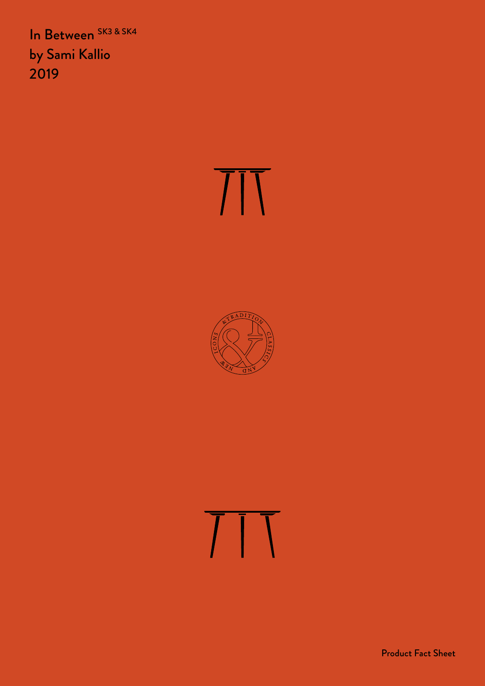In Between SK3 & SK4 by Sami Kallio 2019

# $\overline{\text{III}}$



## $\overline{11}$

Product Fact Sheet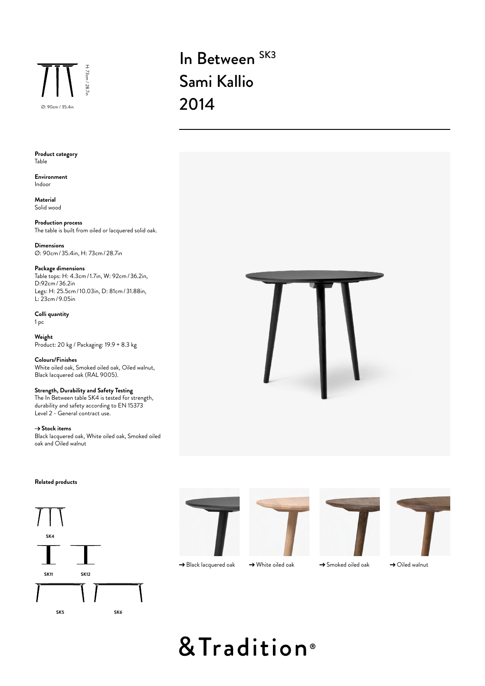

### In Between<sup>SK3</sup> Sami Kallio

**Product category** Table

**Environment** Indoor

**Material** Solid wood

**Production process** The table is built from oiled or lacquered solid oak.

**Dimensions** Ø: 90cm/35.4in, H: 73cm/28.7in

#### **Package dimensions**

Table tops: H: 4.3cm/1.7in, W: 92cm/36.2in, D:92cm/36.2in Legs: H: 25.5cm/10.03in, D: 81cm/31.88in, L: 23cm/9.05in

**Colli quantity** 1 pc

**Weight** Product: 20 kg / Packaging: 19.9 + 8.3 kg

**Colours/Finishes** White oiled oak, Smoked oiled oak, Oiled walnut, Black lacquered oak (RAL 9005).

#### **Strength, Durability and Safety Testing**

The In Between table SK4 is tested for strength, durability and safety according to EN 15373 Level 2 - General contract use.

→ Stock items Black lacquered oak, White oiled oak, Smoked oiled oak and Oiled walnut



#### **Related products**











 $\rightarrow$  Black lacquered oak  $\rightarrow$  White oiled oak  $\rightarrow$  Smoked oiled oak

 $\rightarrow$  Oiled walnut

### & Tradition®